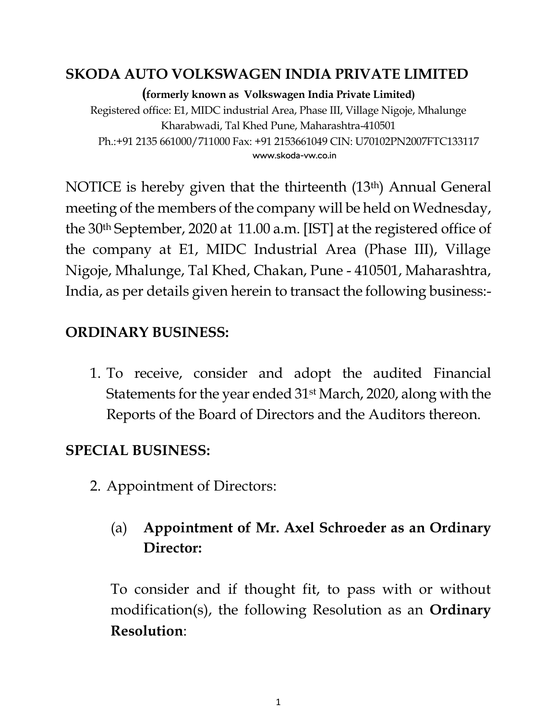#### **SKODA AUTO VOLKSWAGEN INDIA PRIVATE LIMITED**

**(formerly known as Volkswagen India Private Limited)** Registered office: E1, MIDC industrial Area, Phase III, Village Nigoje, Mhalunge Kharabwadi, Tal Khed Pune, Maharashtra-410501 Ph.:+91 2135 661000/711000 Fax: +91 2153661049 CIN: U70102PN2007FTC133117 www.skoda-vw.co.in

NOTICE is hereby given that the thirteenth (13th) Annual General meeting of the members of the company will be held on Wednesday, the 30th September, 2020 at 11.00 a.m. [IST] at the registered office of the company at E1, MIDC Industrial Area (Phase III), Village Nigoje, Mhalunge, Tal Khed, Chakan, Pune - 410501, Maharashtra, India, as per details given herein to transact the following business:-

### **ORDINARY BUSINESS:**

1. To receive, consider and adopt the audited Financial Statements for the year ended 31st March, 2020, along with the Reports of the Board of Directors and the Auditors thereon.

### **SPECIAL BUSINESS:**

2. Appointment of Directors:

# (a) **Appointment of Mr. Axel Schroeder as an Ordinary Director:**

To consider and if thought fit, to pass with or without modification(s), the following Resolution as an **Ordinary Resolution**: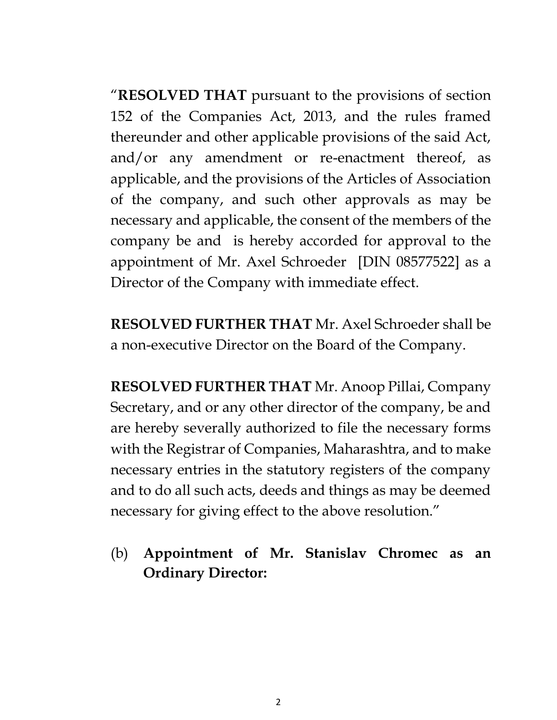"**RESOLVED THAT** pursuant to the provisions of section 152 of the Companies Act, 2013, and the rules framed thereunder and other applicable provisions of the said Act, and/or any amendment or re-enactment thereof, as applicable, and the provisions of the Articles of Association of the company, and such other approvals as may be necessary and applicable, the consent of the members of the company be and is hereby accorded for approval to the appointment of Mr. Axel Schroeder [DIN 08577522] as a Director of the Company with immediate effect.

**RESOLVED FURTHER THAT** Mr. Axel Schroeder shall be a non-executive Director on the Board of the Company.

**RESOLVED FURTHER THAT** Mr. Anoop Pillai, Company Secretary, and or any other director of the company, be and are hereby severally authorized to file the necessary forms with the Registrar of Companies, Maharashtra, and to make necessary entries in the statutory registers of the company and to do all such acts, deeds and things as may be deemed necessary for giving effect to the above resolution."

(b) **Appointment of Mr. Stanislav Chromec as an Ordinary Director:**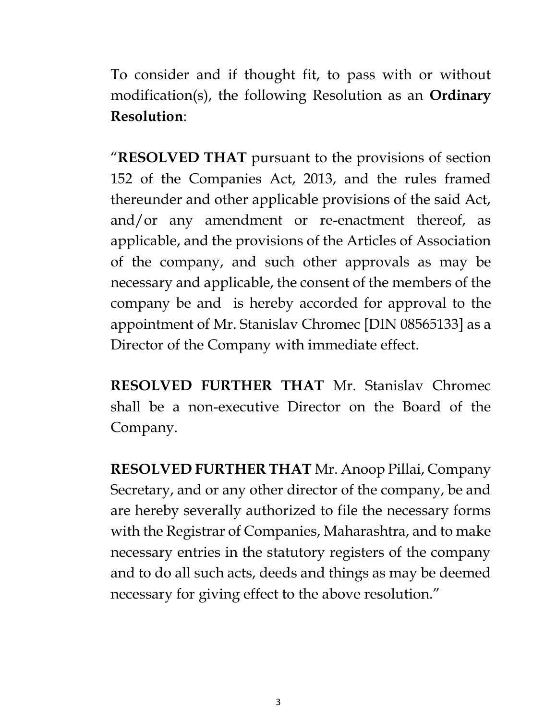To consider and if thought fit, to pass with or without modification(s), the following Resolution as an **Ordinary Resolution**:

"**RESOLVED THAT** pursuant to the provisions of section 152 of the Companies Act, 2013, and the rules framed thereunder and other applicable provisions of the said Act, and/or any amendment or re-enactment thereof, as applicable, and the provisions of the Articles of Association of the company, and such other approvals as may be necessary and applicable, the consent of the members of the company be and is hereby accorded for approval to the appointment of Mr. Stanislav Chromec [DIN 08565133] as a Director of the Company with immediate effect.

**RESOLVED FURTHER THAT** Mr. Stanislav Chromec shall be a non-executive Director on the Board of the Company.

**RESOLVED FURTHER THAT** Mr. Anoop Pillai, Company Secretary, and or any other director of the company, be and are hereby severally authorized to file the necessary forms with the Registrar of Companies, Maharashtra, and to make necessary entries in the statutory registers of the company and to do all such acts, deeds and things as may be deemed necessary for giving effect to the above resolution."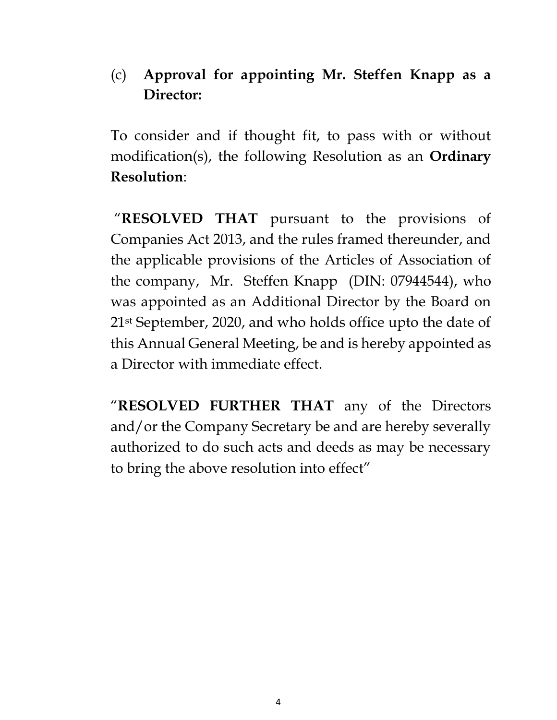### (c) **Approval for appointing Mr. Steffen Knapp as a Director:**

To consider and if thought fit, to pass with or without modification(s), the following Resolution as an **Ordinary Resolution**:

"**RESOLVED THAT** pursuant to the provisions of Companies Act 2013, and the rules framed thereunder, and the applicable provisions of the Articles of Association of the company, Mr. Steffen Knapp (DIN: 07944544), who was appointed as an Additional Director by the Board on 21st September, 2020, and who holds office upto the date of this Annual General Meeting, be and is hereby appointed as a Director with immediate effect.

"**RESOLVED FURTHER THAT** any of the Directors and/or the Company Secretary be and are hereby severally authorized to do such acts and deeds as may be necessary to bring the above resolution into effect"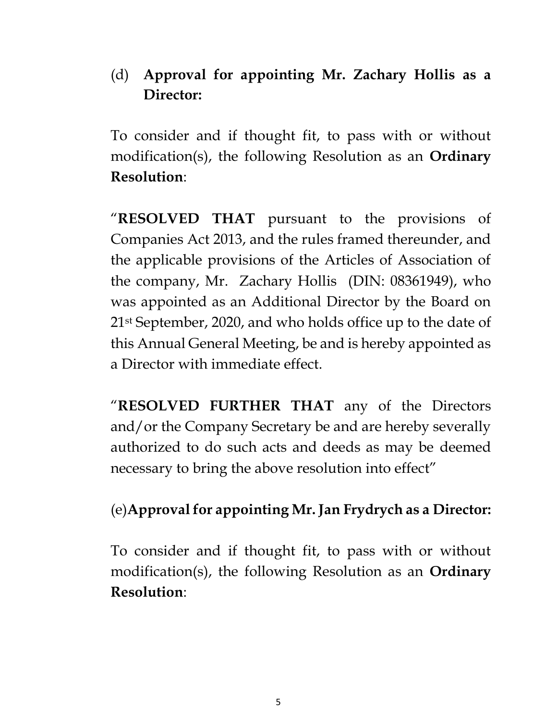### (d) **Approval for appointing Mr. Zachary Hollis as a Director:**

To consider and if thought fit, to pass with or without modification(s), the following Resolution as an **Ordinary Resolution**:

"**RESOLVED THAT** pursuant to the provisions of Companies Act 2013, and the rules framed thereunder, and the applicable provisions of the Articles of Association of the company, Mr. Zachary Hollis (DIN: 08361949), who was appointed as an Additional Director by the Board on 21st September, 2020, and who holds office up to the date of this Annual General Meeting, be and is hereby appointed as a Director with immediate effect.

"**RESOLVED FURTHER THAT** any of the Directors and/or the Company Secretary be and are hereby severally authorized to do such acts and deeds as may be deemed necessary to bring the above resolution into effect"

### (e)**Approval for appointing Mr. Jan Frydrych as a Director:**

To consider and if thought fit, to pass with or without modification(s), the following Resolution as an **Ordinary Resolution**: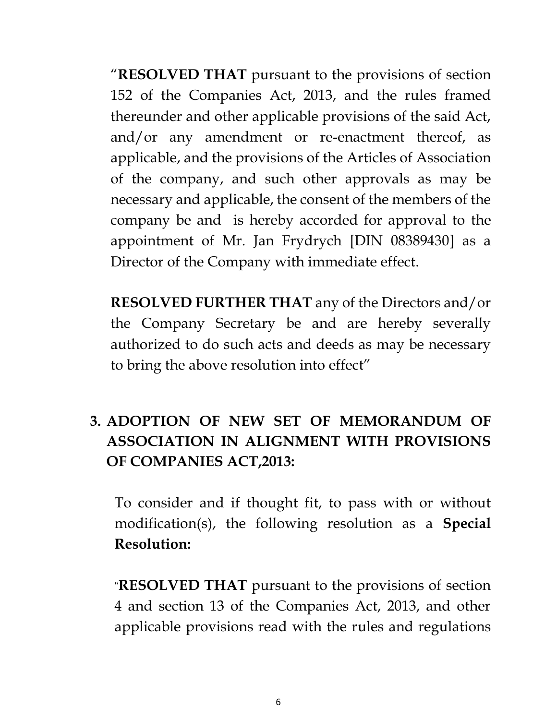"**RESOLVED THAT** pursuant to the provisions of section 152 of the Companies Act, 2013, and the rules framed thereunder and other applicable provisions of the said Act, and/or any amendment or re-enactment thereof, as applicable, and the provisions of the Articles of Association of the company, and such other approvals as may be necessary and applicable, the consent of the members of the company be and is hereby accorded for approval to the appointment of Mr. Jan Frydrych [DIN 08389430] as a Director of the Company with immediate effect.

**RESOLVED FURTHER THAT** any of the Directors and/or the Company Secretary be and are hereby severally authorized to do such acts and deeds as may be necessary to bring the above resolution into effect"

# **3. ADOPTION OF NEW SET OF MEMORANDUM OF ASSOCIATION IN ALIGNMENT WITH PROVISIONS OF COMPANIES ACT,2013:**

To consider and if thought fit, to pass with or without modification(s), the following resolution as a **Special Resolution:**

"**RESOLVED THAT** pursuant to the provisions of section 4 and section 13 of the Companies Act, 2013, and other applicable provisions read with the rules and regulations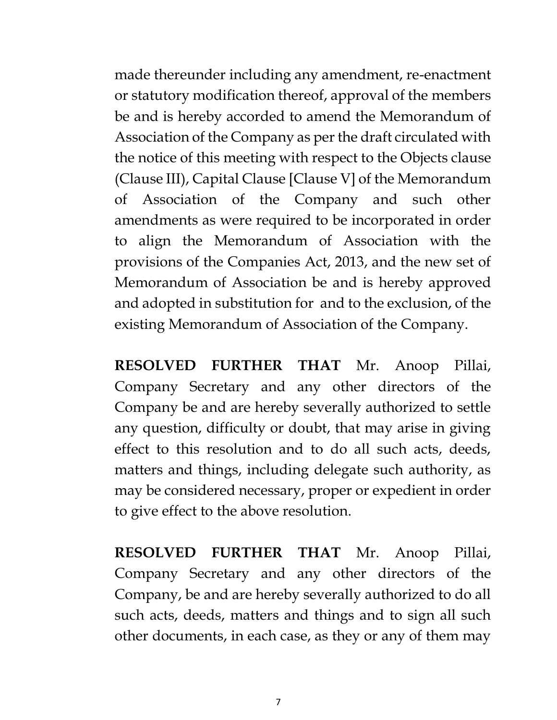made thereunder including any amendment, re-enactment or statutory modification thereof, approval of the members be and is hereby accorded to amend the Memorandum of Association of the Company as per the draft circulated with the notice of this meeting with respect to the Objects clause (Clause III), Capital Clause [Clause V] of the Memorandum of Association of the Company and such other amendments as were required to be incorporated in order to align the Memorandum of Association with the provisions of the Companies Act, 2013, and the new set of Memorandum of Association be and is hereby approved and adopted in substitution for and to the exclusion, of the existing Memorandum of Association of the Company.

**RESOLVED FURTHER THAT** Mr. Anoop Pillai, Company Secretary and any other directors of the Company be and are hereby severally authorized to settle any question, difficulty or doubt, that may arise in giving effect to this resolution and to do all such acts, deeds, matters and things, including delegate such authority, as may be considered necessary, proper or expedient in order to give effect to the above resolution.

**RESOLVED FURTHER THAT** Mr. Anoop Pillai, Company Secretary and any other directors of the Company, be and are hereby severally authorized to do all such acts, deeds, matters and things and to sign all such other documents, in each case, as they or any of them may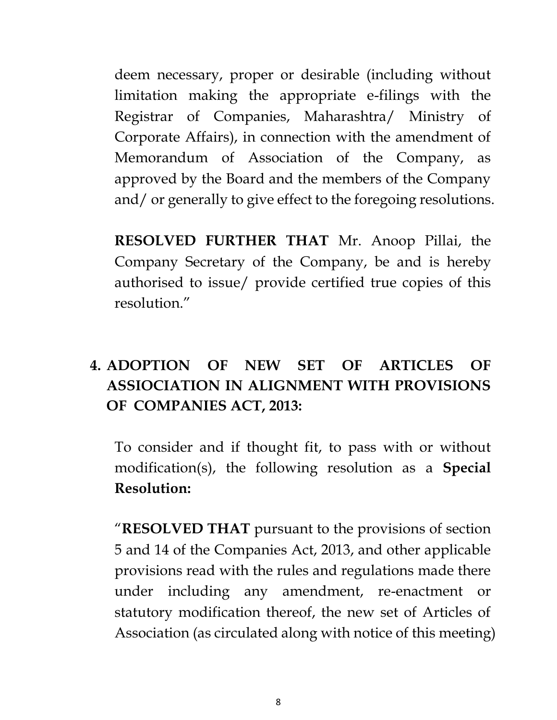deem necessary, proper or desirable (including without limitation making the appropriate e-filings with the Registrar of Companies, Maharashtra/ Ministry of Corporate Affairs), in connection with the amendment of Memorandum of Association of the Company, as approved by the Board and the members of the Company and/ or generally to give effect to the foregoing resolutions.

**RESOLVED FURTHER THAT** Mr. Anoop Pillai, the Company Secretary of the Company, be and is hereby authorised to issue/ provide certified true copies of this resolution."

# **4. ADOPTION OF NEW SET OF ARTICLES OF ASSIOCIATION IN ALIGNMENT WITH PROVISIONS OF COMPANIES ACT, 2013:**

To consider and if thought fit, to pass with or without modification(s), the following resolution as a **Special Resolution:**

"**RESOLVED THAT** pursuant to the provisions of section 5 and 14 of the Companies Act, 2013, and other applicable provisions read with the rules and regulations made there under including any amendment, re-enactment or statutory modification thereof, the new set of Articles of Association (as circulated along with notice of this meeting)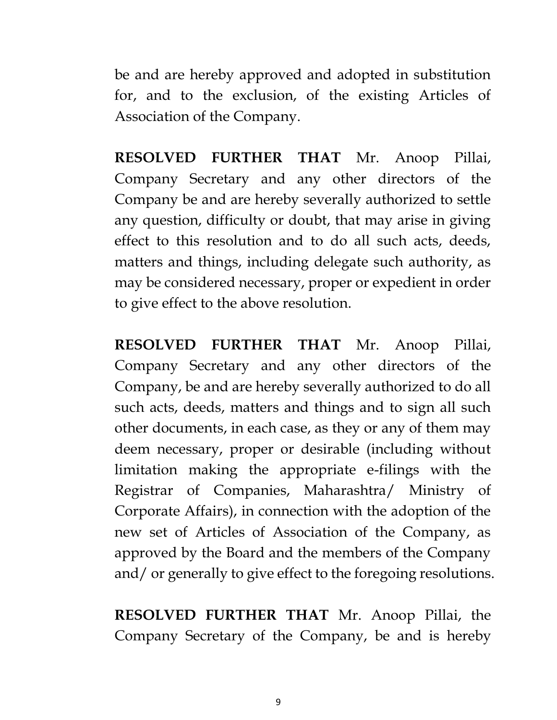be and are hereby approved and adopted in substitution for, and to the exclusion, of the existing Articles of Association of the Company.

**RESOLVED FURTHER THAT** Mr. Anoop Pillai, Company Secretary and any other directors of the Company be and are hereby severally authorized to settle any question, difficulty or doubt, that may arise in giving effect to this resolution and to do all such acts, deeds, matters and things, including delegate such authority, as may be considered necessary, proper or expedient in order to give effect to the above resolution.

**RESOLVED FURTHER THAT** Mr. Anoop Pillai, Company Secretary and any other directors of the Company, be and are hereby severally authorized to do all such acts, deeds, matters and things and to sign all such other documents, in each case, as they or any of them may deem necessary, proper or desirable (including without limitation making the appropriate e-filings with the Registrar of Companies, Maharashtra/ Ministry of Corporate Affairs), in connection with the adoption of the new set of Articles of Association of the Company, as approved by the Board and the members of the Company and/ or generally to give effect to the foregoing resolutions.

**RESOLVED FURTHER THAT** Mr. Anoop Pillai, the Company Secretary of the Company, be and is hereby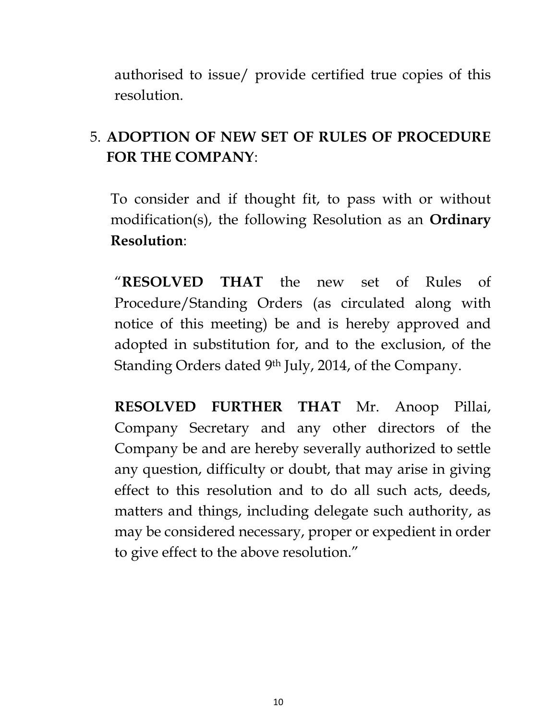authorised to issue/ provide certified true copies of this resolution.

# 5. **ADOPTION OF NEW SET OF RULES OF PROCEDURE FOR THE COMPANY**:

To consider and if thought fit, to pass with or without modification(s), the following Resolution as an **Ordinary Resolution**:

"**RESOLVED THAT** the new set of Rules of Procedure/Standing Orders (as circulated along with notice of this meeting) be and is hereby approved and adopted in substitution for, and to the exclusion, of the Standing Orders dated 9th July, 2014, of the Company.

**RESOLVED FURTHER THAT** Mr. Anoop Pillai, Company Secretary and any other directors of the Company be and are hereby severally authorized to settle any question, difficulty or doubt, that may arise in giving effect to this resolution and to do all such acts, deeds, matters and things, including delegate such authority, as may be considered necessary, proper or expedient in order to give effect to the above resolution."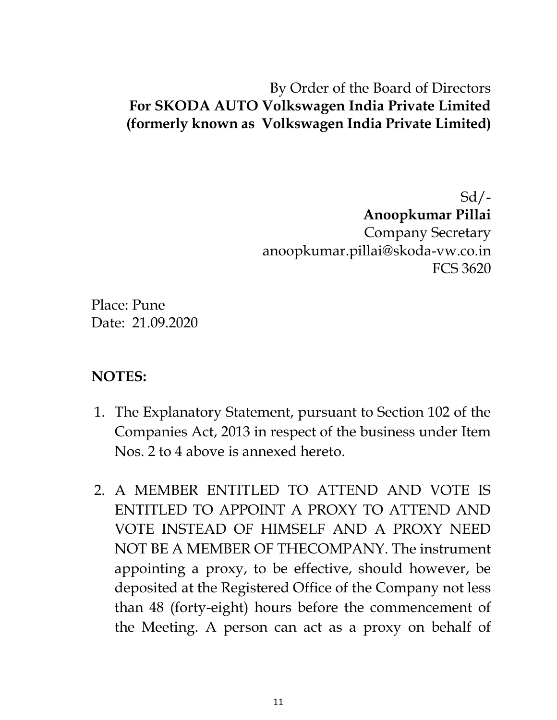#### By Order of the Board of Directors **For SKODA AUTO Volkswagen India Private Limited (formerly known as Volkswagen India Private Limited)**

 $Sd$  /-**Anoopkumar Pillai** Company Secretary anoopkumar.pillai@skoda-vw.co.in FCS 3620

Place: Pune Date: 21.09.2020

#### **NOTES:**

- 1. The Explanatory Statement, pursuant to Section 102 of the Companies Act, 2013 in respect of the business under Item Nos. 2 to 4 above is annexed hereto.
- 2. A MEMBER ENTITLED TO ATTEND AND VOTE IS ENTITLED TO APPOINT A PROXY TO ATTEND AND VOTE INSTEAD OF HIMSELF AND A PROXY NEED NOT BE A MEMBER OF THECOMPANY. The instrument appointing a proxy, to be effective, should however, be deposited at the Registered Office of the Company not less than 48 (forty-eight) hours before the commencement of the Meeting. A person can act as a proxy on behalf of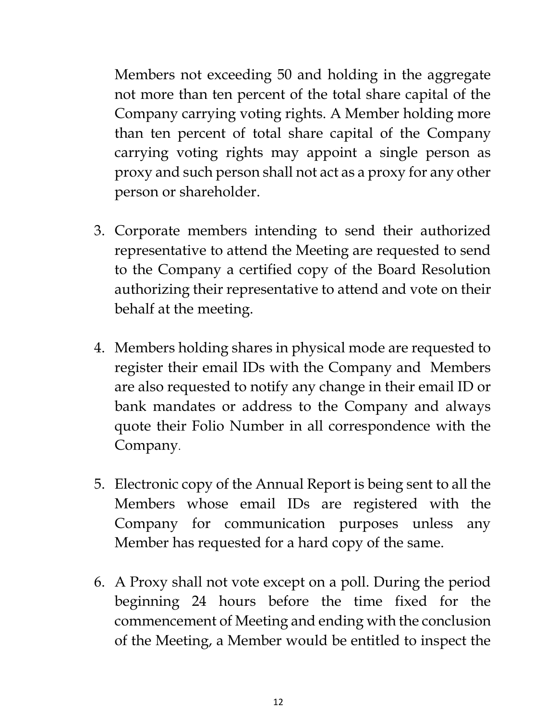Members not exceeding 50 and holding in the aggregate not more than ten percent of the total share capital of the Company carrying voting rights. A Member holding more than ten percent of total share capital of the Company carrying voting rights may appoint a single person as proxy and such person shall not act as a proxy for any other person or shareholder.

- 3. Corporate members intending to send their authorized representative to attend the Meeting are requested to send to the Company a certified copy of the Board Resolution authorizing their representative to attend and vote on their behalf at the meeting.
- 4. Members holding shares in physical mode are requested to register their email IDs with the Company and Members are also requested to notify any change in their email ID or bank mandates or address to the Company and always quote their Folio Number in all correspondence with the Company.
- 5. Electronic copy of the Annual Report is being sent to all the Members whose email IDs are registered with the Company for communication purposes unless any Member has requested for a hard copy of the same.
- 6. A Proxy shall not vote except on a poll. During the period beginning 24 hours before the time fixed for the commencement of Meeting and ending with the conclusion of the Meeting, a Member would be entitled to inspect the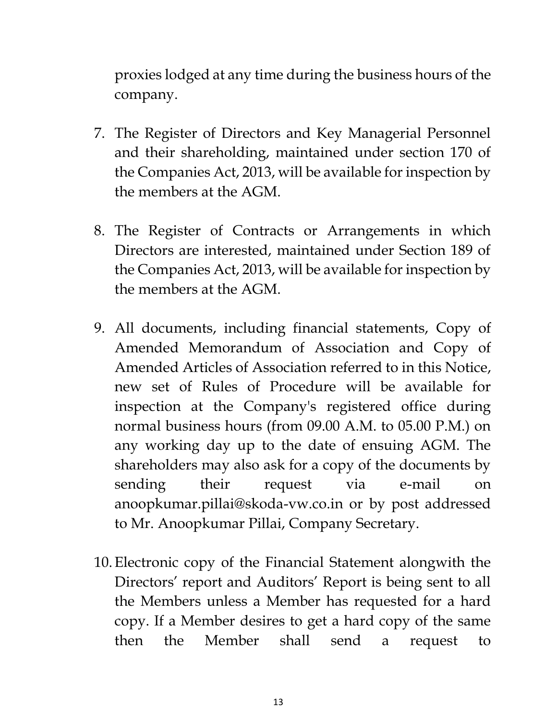proxies lodged at any time during the business hours of the company.

- 7. The Register of Directors and Key Managerial Personnel and their shareholding, maintained under section 170 of the Companies Act, 2013, will be available for inspection by the members at the AGM.
- 8. The Register of Contracts or Arrangements in which Directors are interested, maintained under Section 189 of the Companies Act, 2013, will be available for inspection by the members at the AGM.
- 9. All documents, including financial statements, Copy of Amended Memorandum of Association and Copy of Amended Articles of Association referred to in this Notice, new set of Rules of Procedure will be available for inspection at the Company's registered office during normal business hours (from 09.00 A.M. to 05.00 P.M.) on any working day up to the date of ensuing AGM. The shareholders may also ask for a copy of the documents by sending their request via e-mail on anoopkumar.pillai@skoda-vw.co.in or by post addressed to Mr. Anoopkumar Pillai, Company Secretary.
- 10.Electronic copy of the Financial Statement alongwith the Directors' report and Auditors' Report is being sent to all the Members unless a Member has requested for a hard copy. If a Member desires to get a hard copy of the same then the Member shall send a request to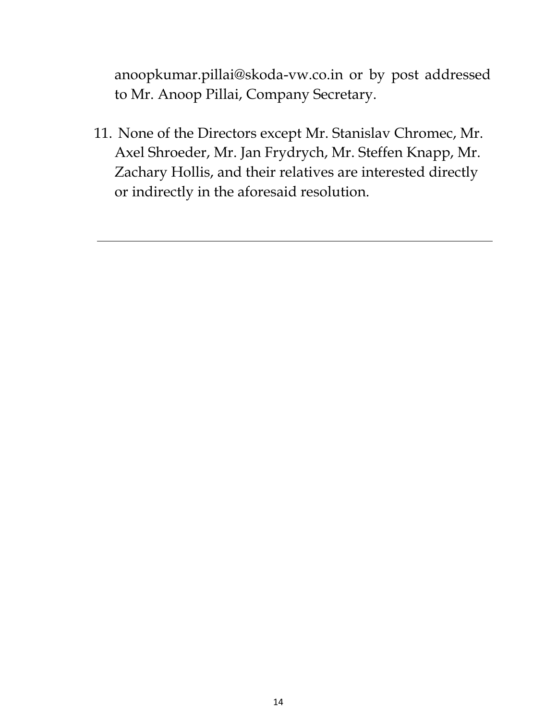anoopkumar.pillai@skoda-vw.co.in or by post addressed to Mr. Anoop Pillai, Company Secretary.

11. None of the Directors except Mr. Stanislav Chromec, Mr. Axel Shroeder, Mr. Jan Frydrych, Mr. Steffen Knapp, Mr. Zachary Hollis, and their relatives are interested directly or indirectly in the aforesaid resolution.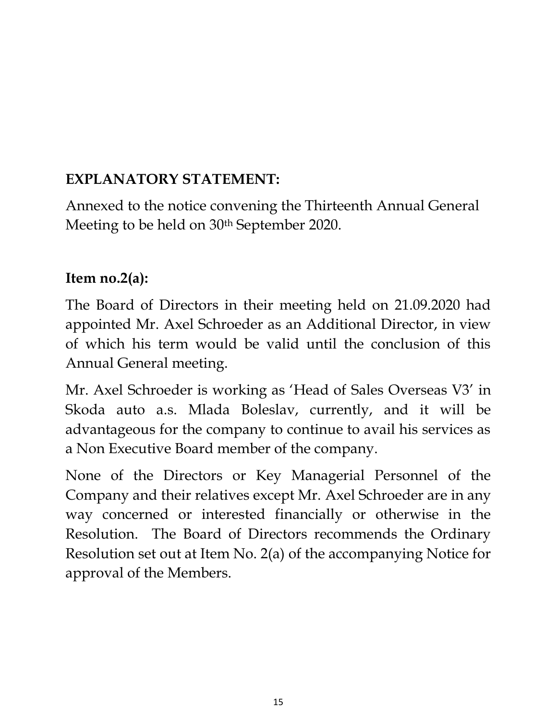## **EXPLANATORY STATEMENT:**

Annexed to the notice convening the Thirteenth Annual General Meeting to be held on 30<sup>th</sup> September 2020.

### **Item no.2(a):**

The Board of Directors in their meeting held on 21.09.2020 had appointed Mr. Axel Schroeder as an Additional Director, in view of which his term would be valid until the conclusion of this Annual General meeting.

Mr. Axel Schroeder is working as 'Head of Sales Overseas V3' in Skoda auto a.s. Mlada Boleslav, currently, and it will be advantageous for the company to continue to avail his services as a Non Executive Board member of the company.

None of the Directors or Key Managerial Personnel of the Company and their relatives except Mr. Axel Schroeder are in any way concerned or interested financially or otherwise in the Resolution. The Board of Directors recommends the Ordinary Resolution set out at Item No. 2(a) of the accompanying Notice for approval of the Members.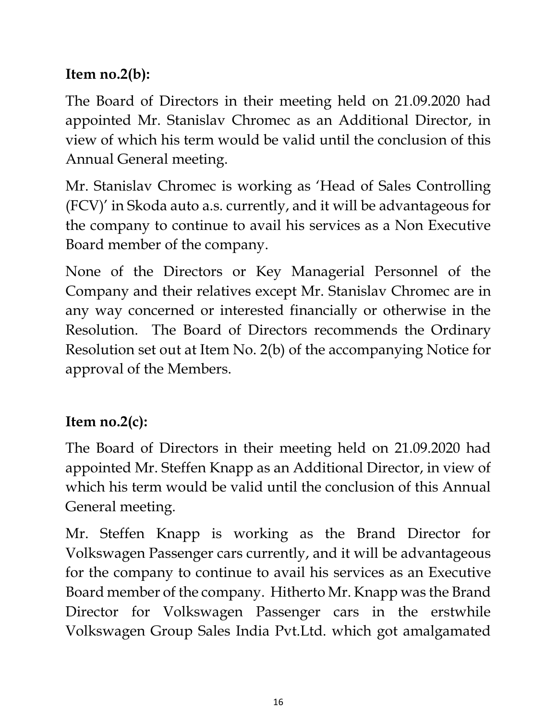## **Item no.2(b):**

The Board of Directors in their meeting held on 21.09.2020 had appointed Mr. Stanislav Chromec as an Additional Director, in view of which his term would be valid until the conclusion of this Annual General meeting.

Mr. Stanislav Chromec is working as 'Head of Sales Controlling (FCV)' in Skoda auto a.s. currently, and it will be advantageous for the company to continue to avail his services as a Non Executive Board member of the company.

None of the Directors or Key Managerial Personnel of the Company and their relatives except Mr. Stanislav Chromec are in any way concerned or interested financially or otherwise in the Resolution. The Board of Directors recommends the Ordinary Resolution set out at Item No. 2(b) of the accompanying Notice for approval of the Members.

# **Item no.2(c):**

The Board of Directors in their meeting held on 21.09.2020 had appointed Mr. Steffen Knapp as an Additional Director, in view of which his term would be valid until the conclusion of this Annual General meeting.

Mr. Steffen Knapp is working as the Brand Director for Volkswagen Passenger cars currently, and it will be advantageous for the company to continue to avail his services as an Executive Board member of the company. Hitherto Mr. Knapp was the Brand Director for Volkswagen Passenger cars in the erstwhile Volkswagen Group Sales India Pvt.Ltd. which got amalgamated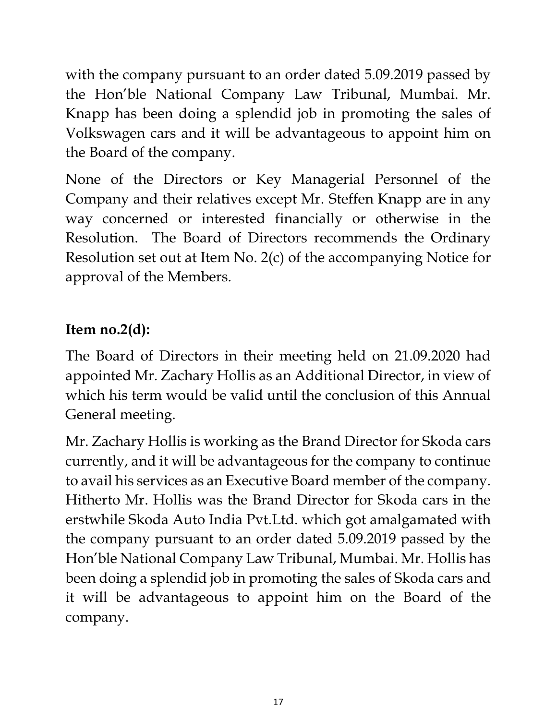with the company pursuant to an order dated 5.09.2019 passed by the Hon'ble National Company Law Tribunal, Mumbai. Mr. Knapp has been doing a splendid job in promoting the sales of Volkswagen cars and it will be advantageous to appoint him on the Board of the company.

None of the Directors or Key Managerial Personnel of the Company and their relatives except Mr. Steffen Knapp are in any way concerned or interested financially or otherwise in the Resolution. The Board of Directors recommends the Ordinary Resolution set out at Item No. 2(c) of the accompanying Notice for approval of the Members.

## **Item no.2(d):**

The Board of Directors in their meeting held on 21.09.2020 had appointed Mr. Zachary Hollis as an Additional Director, in view of which his term would be valid until the conclusion of this Annual General meeting.

Mr. Zachary Hollis is working as the Brand Director for Skoda cars currently, and it will be advantageous for the company to continue to avail his services as an Executive Board member of the company. Hitherto Mr. Hollis was the Brand Director for Skoda cars in the erstwhile Skoda Auto India Pvt.Ltd. which got amalgamated with the company pursuant to an order dated 5.09.2019 passed by the Hon'ble National Company Law Tribunal, Mumbai. Mr. Hollis has been doing a splendid job in promoting the sales of Skoda cars and it will be advantageous to appoint him on the Board of the company.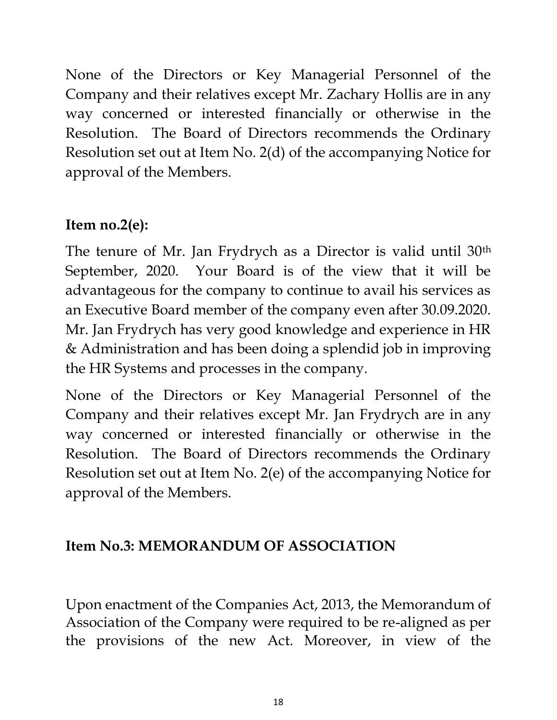None of the Directors or Key Managerial Personnel of the Company and their relatives except Mr. Zachary Hollis are in any way concerned or interested financially or otherwise in the Resolution. The Board of Directors recommends the Ordinary Resolution set out at Item No. 2(d) of the accompanying Notice for approval of the Members.

### **Item no.2(e):**

The tenure of Mr. Jan Frydrych as a Director is valid until 30th September, 2020. Your Board is of the view that it will be advantageous for the company to continue to avail his services as an Executive Board member of the company even after 30.09.2020. Mr. Jan Frydrych has very good knowledge and experience in HR & Administration and has been doing a splendid job in improving the HR Systems and processes in the company.

None of the Directors or Key Managerial Personnel of the Company and their relatives except Mr. Jan Frydrych are in any way concerned or interested financially or otherwise in the Resolution. The Board of Directors recommends the Ordinary Resolution set out at Item No. 2(e) of the accompanying Notice for approval of the Members.

# **Item No.3: MEMORANDUM OF ASSOCIATION**

Upon enactment of the Companies Act, 2013, the Memorandum of Association of the Company were required to be re-aligned as per the provisions of the new Act. Moreover, in view of the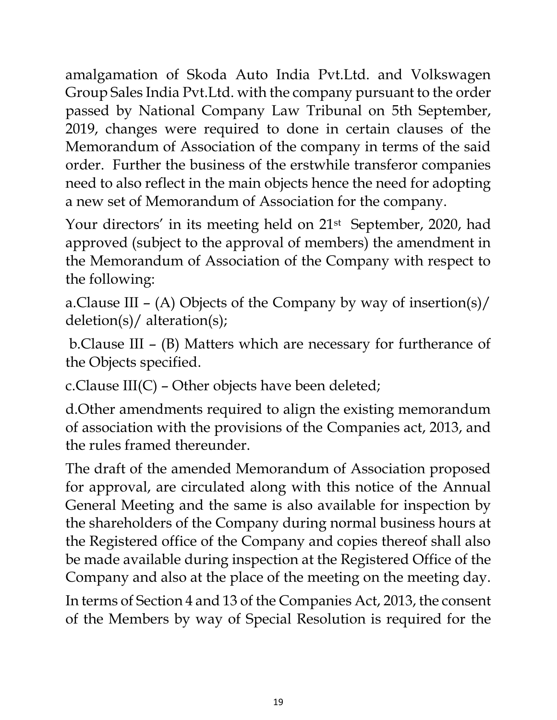amalgamation of Skoda Auto India Pvt.Ltd. and Volkswagen Group Sales India Pvt.Ltd. with the company pursuant to the order passed by National Company Law Tribunal on 5th September, 2019, changes were required to done in certain clauses of the Memorandum of Association of the company in terms of the said order. Further the business of the erstwhile transferor companies need to also reflect in the main objects hence the need for adopting a new set of Memorandum of Association for the company.

Your directors' in its meeting held on 21<sup>st</sup> September, 2020, had approved (subject to the approval of members) the amendment in the Memorandum of Association of the Company with respect to the following:

a.Clause III – (A) Objects of the Company by way of insertion(s)/ deletion(s)/ alteration(s);

b.Clause III – (B) Matters which are necessary for furtherance of the Objects specified.

c.Clause III(C) – Other objects have been deleted;

d.Other amendments required to align the existing memorandum of association with the provisions of the Companies act, 2013, and the rules framed thereunder.

The draft of the amended Memorandum of Association proposed for approval, are circulated along with this notice of the Annual General Meeting and the same is also available for inspection by the shareholders of the Company during normal business hours at the Registered office of the Company and copies thereof shall also be made available during inspection at the Registered Office of the Company and also at the place of the meeting on the meeting day.

In terms of Section 4 and 13 of the Companies Act, 2013, the consent of the Members by way of Special Resolution is required for the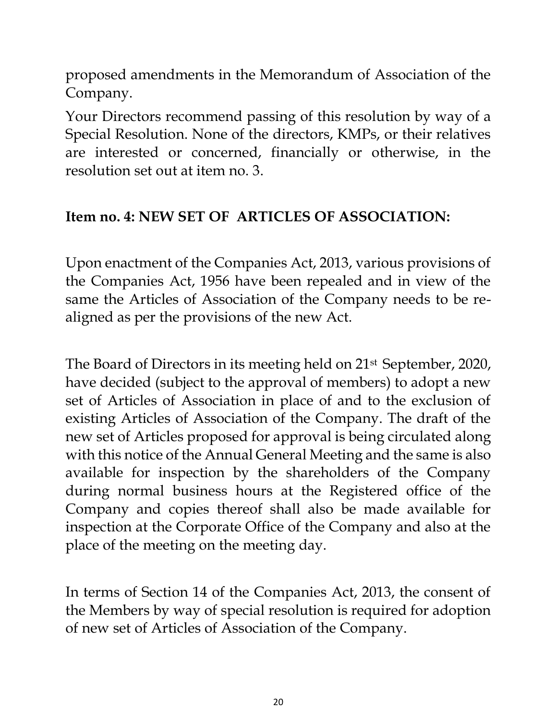proposed amendments in the Memorandum of Association of the Company.

Your Directors recommend passing of this resolution by way of a Special Resolution. None of the directors, KMPs, or their relatives are interested or concerned, financially or otherwise, in the resolution set out at item no. 3.

#### **Item no. 4: NEW SET OF ARTICLES OF ASSOCIATION:**

Upon enactment of the Companies Act, 2013, various provisions of the Companies Act, 1956 have been repealed and in view of the same the Articles of Association of the Company needs to be realigned as per the provisions of the new Act.

The Board of Directors in its meeting held on 21st September, 2020, have decided (subject to the approval of members) to adopt a new set of Articles of Association in place of and to the exclusion of existing Articles of Association of the Company. The draft of the new set of Articles proposed for approval is being circulated along with this notice of the Annual General Meeting and the same is also available for inspection by the shareholders of the Company during normal business hours at the Registered office of the Company and copies thereof shall also be made available for inspection at the Corporate Office of the Company and also at the place of the meeting on the meeting day.

In terms of Section 14 of the Companies Act, 2013, the consent of the Members by way of special resolution is required for adoption of new set of Articles of Association of the Company.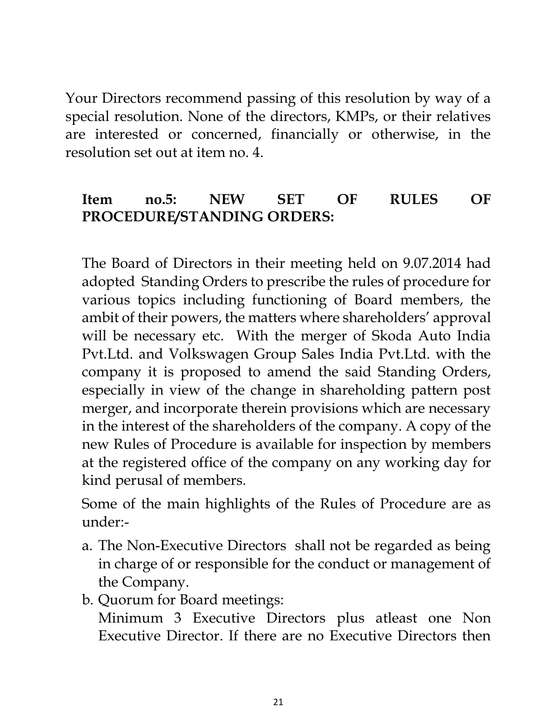Your Directors recommend passing of this resolution by way of a special resolution. None of the directors, KMPs, or their relatives are interested or concerned, financially or otherwise, in the resolution set out at item no. 4.

### **Item no.5: NEW SET OF RULES OF PROCEDURE/STANDING ORDERS:**

The Board of Directors in their meeting held on 9.07.2014 had adopted Standing Orders to prescribe the rules of procedure for various topics including functioning of Board members, the ambit of their powers, the matters where shareholders' approval will be necessary etc. With the merger of Skoda Auto India Pvt.Ltd. and Volkswagen Group Sales India Pvt.Ltd. with the company it is proposed to amend the said Standing Orders, especially in view of the change in shareholding pattern post merger, and incorporate therein provisions which are necessary in the interest of the shareholders of the company. A copy of the new Rules of Procedure is available for inspection by members at the registered office of the company on any working day for kind perusal of members.

Some of the main highlights of the Rules of Procedure are as under:-

- a. The Non-Executive Directors shall not be regarded as being in charge of or responsible for the conduct or management of the Company.
- b. Quorum for Board meetings:

Minimum 3 Executive Directors plus atleast one Non Executive Director. If there are no Executive Directors then